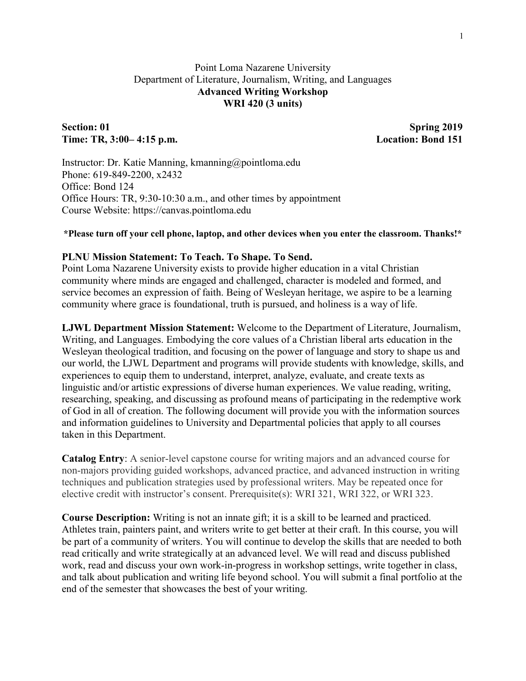## Point Loma Nazarene University Department of Literature, Journalism, Writing, and Languages **Advanced Writing Workshop WRI 420 (3 units)**

## Section: 01 Spring 2019 **Time: TR, 3:00– 4:15 p.m. Location: Bond 151**

Instructor: Dr. Katie Manning, kmanning@pointloma.edu Phone: 619-849-2200, x2432 Office: Bond 124 Office Hours: TR, 9:30-10:30 a.m., and other times by appointment Course Website: https://canvas.pointloma.edu

#### **\*Please turn off your cell phone, laptop, and other devices when you enter the classroom. Thanks!\***

## **PLNU Mission Statement: To Teach. To Shape. To Send.**

Point Loma Nazarene University exists to provide higher education in a vital Christian community where minds are engaged and challenged, character is modeled and formed, and service becomes an expression of faith. Being of Wesleyan heritage, we aspire to be a learning community where grace is foundational, truth is pursued, and holiness is a way of life.

**LJWL Department Mission Statement:** Welcome to the Department of Literature, Journalism, Writing, and Languages. Embodying the core values of a Christian liberal arts education in the Wesleyan theological tradition, and focusing on the power of language and story to shape us and our world, the LJWL Department and programs will provide students with knowledge, skills, and experiences to equip them to understand, interpret, analyze, evaluate, and create texts as linguistic and/or artistic expressions of diverse human experiences. We value reading, writing, researching, speaking, and discussing as profound means of participating in the redemptive work of God in all of creation. The following document will provide you with the information sources and information guidelines to University and Departmental policies that apply to all courses taken in this Department.

**Catalog Entry**: A senior-level capstone course for writing majors and an advanced course for non-majors providing guided workshops, advanced practice, and advanced instruction in writing techniques and publication strategies used by professional writers. May be repeated once for elective credit with instructor's consent. Prerequisite(s): WRI 321, WRI 322, or WRI 323.

**Course Description:** Writing is not an innate gift; it is a skill to be learned and practiced. Athletes train, painters paint, and writers write to get better at their craft. In this course, you will be part of a community of writers. You will continue to develop the skills that are needed to both read critically and write strategically at an advanced level. We will read and discuss published work, read and discuss your own work-in-progress in workshop settings, write together in class, and talk about publication and writing life beyond school. You will submit a final portfolio at the end of the semester that showcases the best of your writing.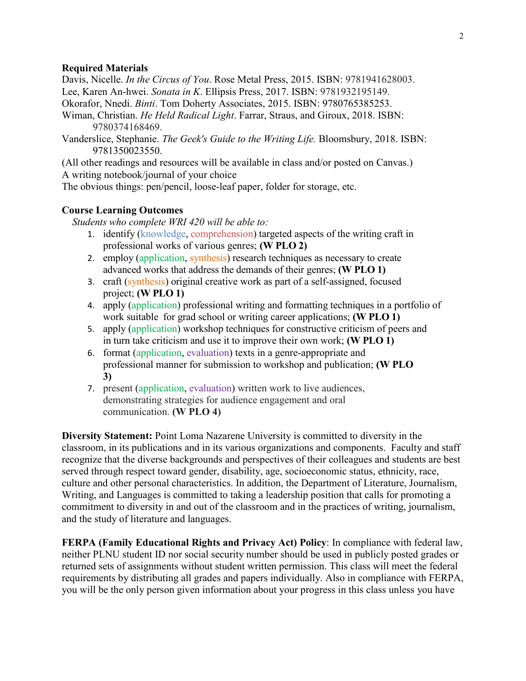#### **Required Materials**

Davis, Nicelle. *In the Circus of You*. Rose Metal Press, 2015. ISBN: 9781941628003. Lee, Karen An-hwei. *Sonata in K*. Ellipsis Press, 2017. ISBN: 9781932195149.

Okorafor, Nnedi. *Binti*. Tom Doherty Associates, 2015. ISBN: 9780765385253.

- Wiman, Christian. *He Held Radical Light*. Farrar, Straus, and Giroux, 2018. ISBN: 9780374168469.
- Vanderslice, Stephanie. *The Geek's Guide to the Writing Life.* Bloomsbury, 2018. ISBN: 9781350023550.

(All other readings and resources will be available in class and/or posted on Canvas.) A writing notebook/journal of your choice

The obvious things: pen/pencil, loose-leaf paper, folder for storage, etc.

### **Course Learning Outcomes**

*Students who complete WRI 420 will be able to:*

- 1. identify (knowledge, comprehension) targeted aspects of the writing craft in professional works of various genres; **(W PLO 2)**
- 2. employ (application, synthesis) research techniques as necessary to create advanced works that address the demands of their genres; **(W PLO 1)**
- 3. craft (synthesis) original creative work as part of a self-assigned, focused project; **(W PLO 1)**
- 4. apply (application) professional writing and formatting techniques in a portfolio of work suitable for grad school or writing career applications; **(W PLO 1)**
- 5. apply (application) workshop techniques for constructive criticism of peers and in turn take criticism and use it to improve their own work; **(W PLO 1)**
- 6. format (application, evaluation) texts in a genre-appropriate and professional manner for submission to workshop and publication; **(W PLO 3)**
- 7. present (application, evaluation) written work to live audiences, demonstrating strategies for audience engagement and oral communication. **(W PLO 4)**

**Diversity Statement:** Point Loma Nazarene University is committed to diversity in the classroom, in its publications and in its various organizations and components. Faculty and staff recognize that the diverse backgrounds and perspectives of their colleagues and students are best served through respect toward gender, disability, age, socioeconomic status, ethnicity, race, culture and other personal characteristics. In addition, the Department of Literature, Journalism, Writing, and Languages is committed to taking a leadership position that calls for promoting a commitment to diversity in and out of the classroom and in the practices of writing, journalism, and the study of literature and languages.

**FERPA (Family Educational Rights and Privacy Act) Policy**: In compliance with federal law, neither PLNU student ID nor social security number should be used in publicly posted grades or returned sets of assignments without student written permission. This class will meet the federal requirements by distributing all grades and papers individually. Also in compliance with FERPA, you will be the only person given information about your progress in this class unless you have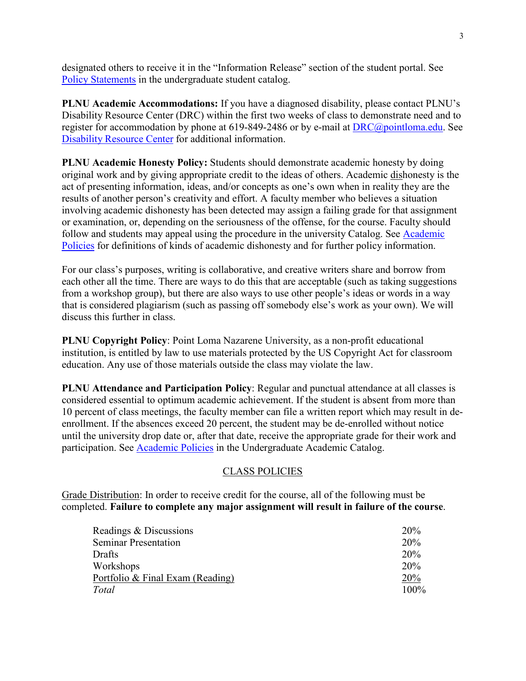designated others to receive it in the "Information Release" section of the student portal. See [Policy Statements](http://catalog.pointloma.edu/content.php?catoid=8&navoid=864) in the undergraduate student catalog.

**PLNU Academic Accommodations:** If you have a diagnosed disability, please contact PLNU's Disability Resource Center (DRC) within the first two weeks of class to demonstrate need and to register for accommodation by phone at 619-849-2486 or by e-mail at [DRC@pointloma.edu.](mailto:DRC@pointloma.edu) See [Disability Resource Center](http://www.pointloma.edu/experience/offices/administrative-offices/academic-advising-office/disability-resource-center) for additional information.

**PLNU Academic Honesty Policy:** Students should demonstrate academic honesty by doing original work and by giving appropriate credit to the ideas of others. Academic dishonesty is the act of presenting information, ideas, and/or concepts as one's own when in reality they are the results of another person's creativity and effort. A faculty member who believes a situation involving academic dishonesty has been detected may assign a failing grade for that assignment or examination, or, depending on the seriousness of the offense, for the course. Faculty should follow and students may appeal using the procedure in the university Catalog. See Academic [Policies](http://catalog.pointloma.edu/content.php?catoid=18&navoid=1278) for definitions of kinds of academic dishonesty and for further policy information.

For our class's purposes, writing is collaborative, and creative writers share and borrow from each other all the time. There are ways to do this that are acceptable (such as taking suggestions from a workshop group), but there are also ways to use other people's ideas or words in a way that is considered plagiarism (such as passing off somebody else's work as your own). We will discuss this further in class.

**PLNU Copyright Policy**: Point Loma Nazarene University, as a non-profit educational institution, is entitled by law to use materials protected by the US Copyright Act for classroom education. Any use of those materials outside the class may violate the law.

**PLNU Attendance and Participation Policy**: Regular and punctual attendance at all classes is considered essential to optimum academic achievement. If the student is absent from more than 10 percent of class meetings, the faculty member can file a written report which may result in deenrollment. If the absences exceed 20 percent, the student may be de-enrolled without notice until the university drop date or, after that date, receive the appropriate grade for their work and participation. See [Academic Policies](http://catalog.pointloma.edu/content.php?catoid=18&navoid=1278) in the Undergraduate Academic Catalog.

## CLASS POLICIES

Grade Distribution: In order to receive credit for the course, all of the following must be completed. **Failure to complete any major assignment will result in failure of the course**.

| Readings & Discussions           | 20%  |
|----------------------------------|------|
| <b>Seminar Presentation</b>      | 20%  |
| Drafts                           | 20%  |
| Workshops                        | 20%  |
| Portfolio & Final Exam (Reading) | 20%  |
| Total                            | 100% |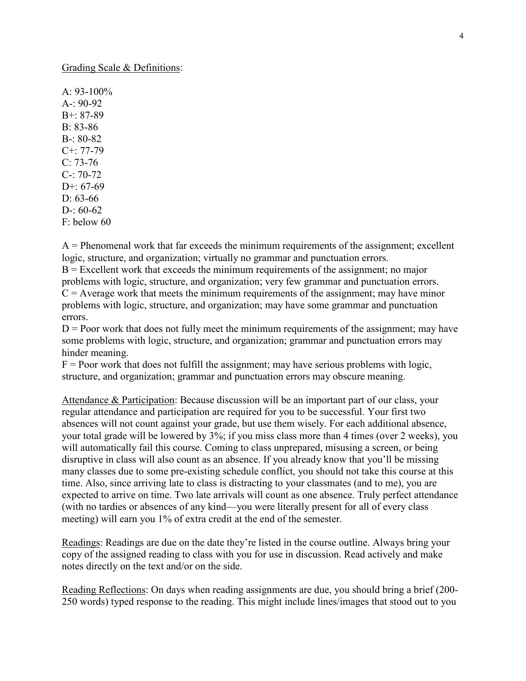Grading Scale & Definitions:

 $A.93-100\%$ A-: 90-92 B+: 87-89 B: 83-86  $B - 80 - 82$ C+: 77-79  $C: 73-76$ C-: 70-72  $D^{+67-69}$ D: 63-66 D-:  $60-62$ F: below 60

 $A =$  Phenomenal work that far exceeds the minimum requirements of the assignment; excellent logic, structure, and organization; virtually no grammar and punctuation errors.

 $B =$  Excellent work that exceeds the minimum requirements of the assignment; no major problems with logic, structure, and organization; very few grammar and punctuation errors.  $C =$  Average work that meets the minimum requirements of the assignment; may have minor problems with logic, structure, and organization; may have some grammar and punctuation errors.

 $D =$  Poor work that does not fully meet the minimum requirements of the assignment; may have some problems with logic, structure, and organization; grammar and punctuation errors may hinder meaning.

 $F =$  Poor work that does not fulfill the assignment; may have serious problems with logic, structure, and organization; grammar and punctuation errors may obscure meaning.

Attendance & Participation: Because discussion will be an important part of our class, your regular attendance and participation are required for you to be successful. Your first two absences will not count against your grade, but use them wisely. For each additional absence, your total grade will be lowered by 3%; if you miss class more than 4 times (over 2 weeks), you will automatically fail this course. Coming to class unprepared, misusing a screen, or being disruptive in class will also count as an absence. If you already know that you'll be missing many classes due to some pre-existing schedule conflict, you should not take this course at this time. Also, since arriving late to class is distracting to your classmates (and to me), you are expected to arrive on time. Two late arrivals will count as one absence. Truly perfect attendance (with no tardies or absences of any kind—you were literally present for all of every class meeting) will earn you 1% of extra credit at the end of the semester.

Readings: Readings are due on the date they're listed in the course outline. Always bring your copy of the assigned reading to class with you for use in discussion. Read actively and make notes directly on the text and/or on the side.

Reading Reflections: On days when reading assignments are due, you should bring a brief (200- 250 words) typed response to the reading. This might include lines/images that stood out to you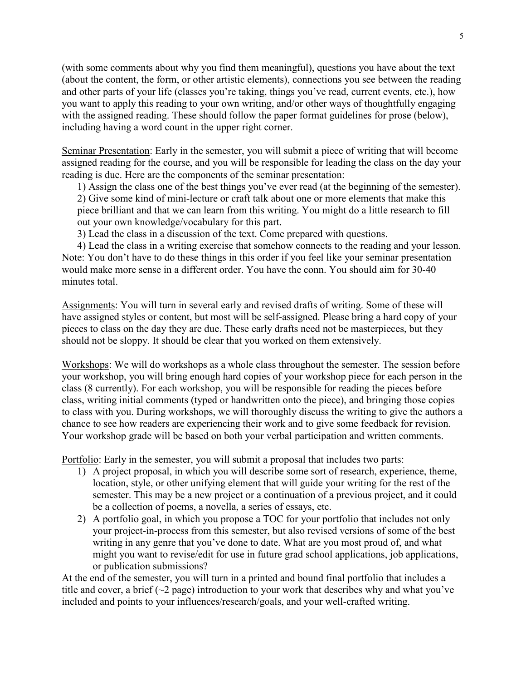(with some comments about why you find them meaningful), questions you have about the text (about the content, the form, or other artistic elements), connections you see between the reading and other parts of your life (classes you're taking, things you've read, current events, etc.), how you want to apply this reading to your own writing, and/or other ways of thoughtfully engaging with the assigned reading. These should follow the paper format guidelines for prose (below), including having a word count in the upper right corner.

Seminar Presentation: Early in the semester, you will submit a piece of writing that will become assigned reading for the course, and you will be responsible for leading the class on the day your reading is due. Here are the components of the seminar presentation:

1) Assign the class one of the best things you've ever read (at the beginning of the semester). 2) Give some kind of mini-lecture or craft talk about one or more elements that make this piece brilliant and that we can learn from this writing. You might do a little research to fill out your own knowledge/vocabulary for this part.

3) Lead the class in a discussion of the text. Come prepared with questions.

4) Lead the class in a writing exercise that somehow connects to the reading and your lesson. Note: You don't have to do these things in this order if you feel like your seminar presentation would make more sense in a different order. You have the conn. You should aim for 30-40 minutes total.

Assignments: You will turn in several early and revised drafts of writing. Some of these will have assigned styles or content, but most will be self-assigned. Please bring a hard copy of your pieces to class on the day they are due. These early drafts need not be masterpieces, but they should not be sloppy. It should be clear that you worked on them extensively.

Workshops: We will do workshops as a whole class throughout the semester. The session before your workshop, you will bring enough hard copies of your workshop piece for each person in the class (8 currently). For each workshop, you will be responsible for reading the pieces before class, writing initial comments (typed or handwritten onto the piece), and bringing those copies to class with you. During workshops, we will thoroughly discuss the writing to give the authors a chance to see how readers are experiencing their work and to give some feedback for revision. Your workshop grade will be based on both your verbal participation and written comments.

Portfolio: Early in the semester, you will submit a proposal that includes two parts:

- 1) A project proposal, in which you will describe some sort of research, experience, theme, location, style, or other unifying element that will guide your writing for the rest of the semester. This may be a new project or a continuation of a previous project, and it could be a collection of poems, a novella, a series of essays, etc.
- 2) A portfolio goal, in which you propose a TOC for your portfolio that includes not only your project-in-process from this semester, but also revised versions of some of the best writing in any genre that you've done to date. What are you most proud of, and what might you want to revise/edit for use in future grad school applications, job applications, or publication submissions?

At the end of the semester, you will turn in a printed and bound final portfolio that includes a title and cover, a brief  $(\sim 2$  page) introduction to your work that describes why and what you've included and points to your influences/research/goals, and your well-crafted writing.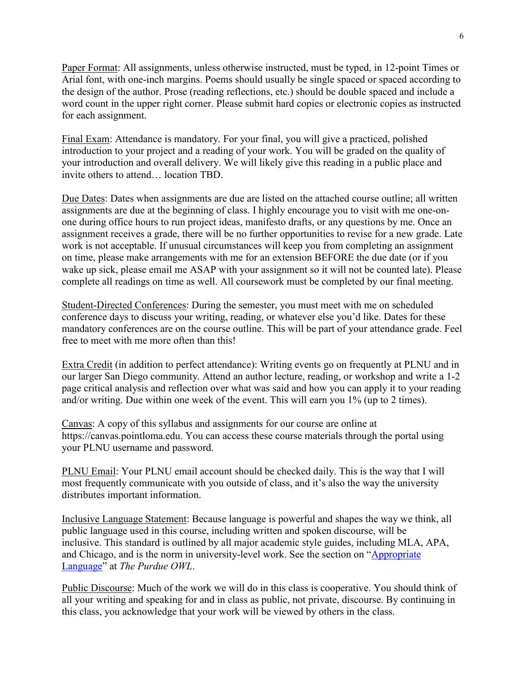Paper Format: All assignments, unless otherwise instructed, must be typed, in 12-point Times or Arial font, with one-inch margins. Poems should usually be single spaced or spaced according to the design of the author. Prose (reading reflections, etc.) should be double spaced and include a word count in the upper right corner. Please submit hard copies or electronic copies as instructed for each assignment.

Final Exam: Attendance is mandatory. For your final, you will give a practiced, polished introduction to your project and a reading of your work. You will be graded on the quality of your introduction and overall delivery. We will likely give this reading in a public place and invite others to attend… location TBD.

Due Dates: Dates when assignments are due are listed on the attached course outline; all written assignments are due at the beginning of class. I highly encourage you to visit with me one-onone during office hours to run project ideas, manifesto drafts, or any questions by me. Once an assignment receives a grade, there will be no further opportunities to revise for a new grade. Late work is not acceptable. If unusual circumstances will keep you from completing an assignment on time, please make arrangements with me for an extension BEFORE the due date (or if you wake up sick, please email me ASAP with your assignment so it will not be counted late). Please complete all readings on time as well. All coursework must be completed by our final meeting.

Student-Directed Conferences: During the semester, you must meet with me on scheduled conference days to discuss your writing, reading, or whatever else you'd like. Dates for these mandatory conferences are on the course outline. This will be part of your attendance grade. Feel free to meet with me more often than this!

Extra Credit (in addition to perfect attendance): Writing events go on frequently at PLNU and in our larger San Diego community. Attend an author lecture, reading, or workshop and write a 1-2 page critical analysis and reflection over what was said and how you can apply it to your reading and/or writing. Due within one week of the event. This will earn you 1% (up to 2 times).

Canvas: A copy of this syllabus and assignments for our course are online at https://canvas.pointloma.edu. You can access these course materials through the portal using your PLNU username and password.

PLNU Email: Your PLNU email account should be checked daily. This is the way that I will most frequently communicate with you outside of class, and it's also the way the university distributes important information.

Inclusive Language Statement: Because language is powerful and shapes the way we think, all public language used in this course, including written and spoken discourse, will be inclusive. This standard is outlined by all major academic style guides, including MLA, APA, and Chicago, and is the norm in university-level work. See the section on ["Appropriate](https://owl.purdue.edu/owl/general_writing/academic_writing/using_appropriate_language/index.html)  [Language"](https://owl.purdue.edu/owl/general_writing/academic_writing/using_appropriate_language/index.html) at *The Purdue OWL*.

Public Discourse: Much of the work we will do in this class is cooperative. You should think of all your writing and speaking for and in class as public, not private, discourse. By continuing in this class, you acknowledge that your work will be viewed by others in the class.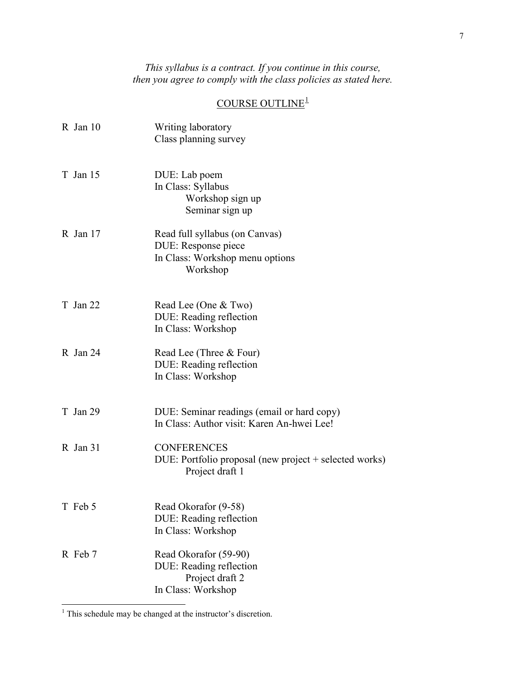*This syllabus is a contract. If you continue in this course, then you agree to comply with the class policies as stated here.*

# $\underline{\text{COUNSE OUTLINE}^1}$  $\underline{\text{COUNSE OUTLINE}^1}$  $\underline{\text{COUNSE OUTLINE}^1}$

| R Jan 10 | Writing laboratory<br>Class planning survey                                                          |
|----------|------------------------------------------------------------------------------------------------------|
| T Jan 15 | DUE: Lab poem<br>In Class: Syllabus<br>Workshop sign up<br>Seminar sign up                           |
| R Jan 17 | Read full syllabus (on Canvas)<br>DUE: Response piece<br>In Class: Workshop menu options<br>Workshop |
| T Jan 22 | Read Lee (One & Two)<br>DUE: Reading reflection<br>In Class: Workshop                                |
| R Jan 24 | Read Lee (Three & Four)<br>DUE: Reading reflection<br>In Class: Workshop                             |
| T Jan 29 | DUE: Seminar readings (email or hard copy)<br>In Class: Author visit: Karen An-hwei Lee!             |
| R Jan 31 | <b>CONFERENCES</b><br>DUE: Portfolio proposal (new project + selected works)<br>Project draft 1      |
| T Feb 5  | Read Okorafor (9-58)<br>DUE: Reading reflection<br>In Class: Workshop                                |
| R Feb 7  | Read Okorafor (59-90)<br>DUE: Reading reflection<br>Project draft 2<br>In Class: Workshop            |

<span id="page-6-0"></span><sup>&</sup>lt;sup>1</sup> This schedule may be changed at the instructor's discretion.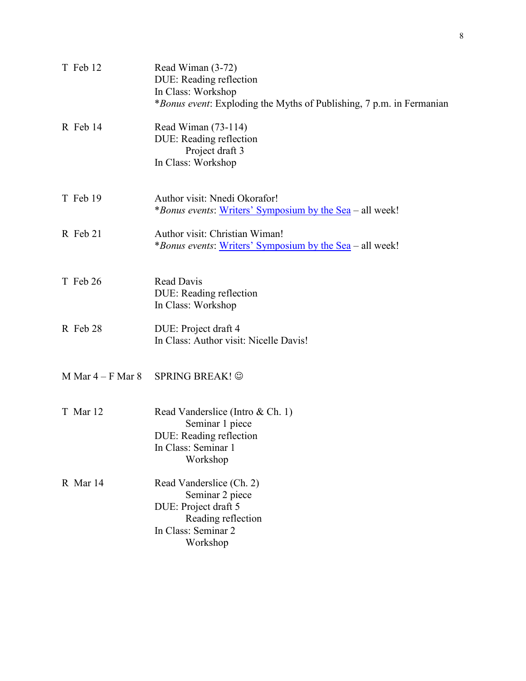| T Feb 12            | Read Wiman (3-72)<br>DUE: Reading reflection<br>In Class: Workshop<br><i>*Bonus event</i> : Exploding the Myths of Publishing, 7 p.m. in Fermanian |
|---------------------|----------------------------------------------------------------------------------------------------------------------------------------------------|
| R Feb 14            | Read Wiman (73-114)<br>DUE: Reading reflection<br>Project draft 3<br>In Class: Workshop                                                            |
| T Feb 19            | Author visit: Nnedi Okorafor!<br><i>*Bonus events:</i> Writers' Symposium by the Sea – all week!                                                   |
| R Feb 21            | Author visit: Christian Wiman!<br><i>*Bonus events:</i> Writers' Symposium by the Sea – all week!                                                  |
| T Feb 26            | Read Davis<br>DUE: Reading reflection<br>In Class: Workshop                                                                                        |
| R Feb 28            | DUE: Project draft 4<br>In Class: Author visit: Nicelle Davis!                                                                                     |
| M Mar $4-F$ Mar $8$ | <b>SPRING BREAK! ©</b>                                                                                                                             |
| T Mar 12            | Read Vanderslice (Intro & Ch. 1)<br>Seminar 1 piece<br>DUE: Reading reflection<br>In Class: Seminar 1<br>Workshop                                  |
| R Mar 14            | Read Vanderslice (Ch. 2)<br>Seminar 2 piece<br>DUE: Project draft 5<br>Reading reflection<br>In Class: Seminar 2<br>Workshop                       |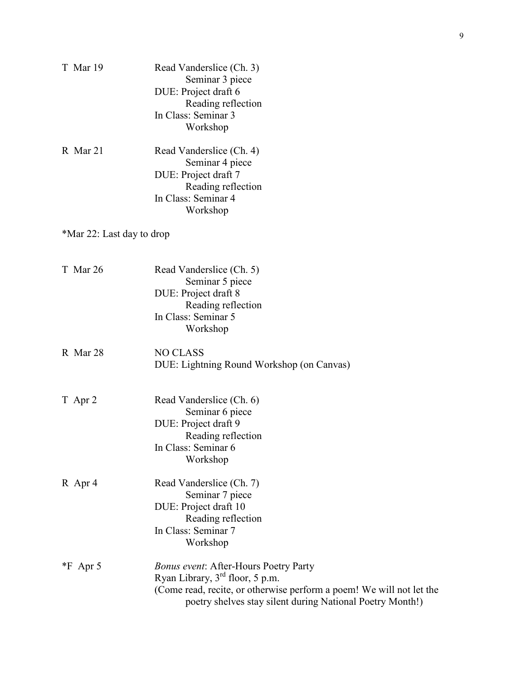| T Mar 19                  | Read Vanderslice (Ch. 3)<br>Seminar 3 piece<br>DUE: Project draft 6<br>Reading reflection                                                                                                                              |
|---------------------------|------------------------------------------------------------------------------------------------------------------------------------------------------------------------------------------------------------------------|
|                           | In Class: Seminar 3<br>Workshop                                                                                                                                                                                        |
| R Mar 21                  | Read Vanderslice (Ch. 4)<br>Seminar 4 piece<br>DUE: Project draft 7<br>Reading reflection<br>In Class: Seminar 4<br>Workshop                                                                                           |
| *Mar 22: Last day to drop |                                                                                                                                                                                                                        |
| T Mar 26                  | Read Vanderslice (Ch. 5)<br>Seminar 5 piece<br>DUE: Project draft 8<br>Reading reflection<br>In Class: Seminar 5<br>Workshop                                                                                           |
| R Mar 28                  | <b>NO CLASS</b><br>DUE: Lightning Round Workshop (on Canvas)                                                                                                                                                           |
| T Apr 2                   | Read Vanderslice (Ch. 6)<br>Seminar 6 piece<br>DUE: Project draft 9<br>Reading reflection<br>In Class: Seminar 6<br>Workshop                                                                                           |
| R Apr 4                   | Read Vanderslice (Ch. 7)<br>Seminar 7 piece<br>DUE: Project draft 10<br>Reading reflection<br>In Class: Seminar 7<br>Workshop                                                                                          |
| $*F$ Apr 5                | <b>Bonus event: After-Hours Poetry Party</b><br>Ryan Library, $3rd$ floor, 5 p.m.<br>(Come read, recite, or otherwise perform a poem! We will not let the<br>poetry shelves stay silent during National Poetry Month!) |